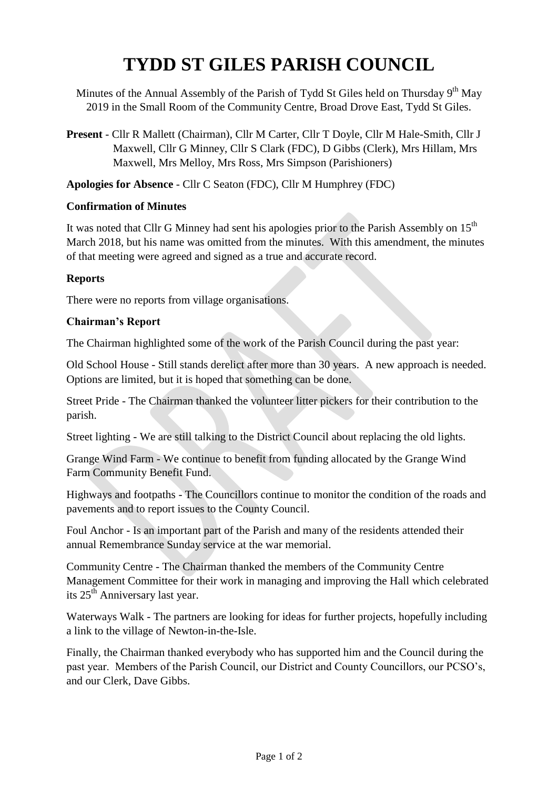# **TYDD ST GILES PARISH COUNCIL**

Minutes of the Annual Assembly of the Parish of Tydd St Giles held on Thursday 9<sup>th</sup> May 2019 in the Small Room of the Community Centre, Broad Drove East, Tydd St Giles.

**Present** - Cllr R Mallett (Chairman), Cllr M Carter, Cllr T Doyle, Cllr M Hale-Smith, Cllr J Maxwell, Cllr G Minney, Cllr S Clark (FDC), D Gibbs (Clerk), Mrs Hillam, Mrs Maxwell, Mrs Melloy, Mrs Ross, Mrs Simpson (Parishioners)

**Apologies for Absence** - Cllr C Seaton (FDC), Cllr M Humphrey (FDC)

### **Confirmation of Minutes**

It was noted that Cllr G Minney had sent his apologies prior to the Parish Assembly on  $15^{th}$ March 2018, but his name was omitted from the minutes. With this amendment, the minutes of that meeting were agreed and signed as a true and accurate record.

### **Reports**

There were no reports from village organisations.

### **Chairman's Report**

The Chairman highlighted some of the work of the Parish Council during the past year:

Old School House - Still stands derelict after more than 30 years. A new approach is needed. Options are limited, but it is hoped that something can be done.

Street Pride - The Chairman thanked the volunteer litter pickers for their contribution to the parish.

Street lighting - We are still talking to the District Council about replacing the old lights.

Grange Wind Farm - We continue to benefit from funding allocated by the Grange Wind Farm Community Benefit Fund.

Highways and footpaths - The Councillors continue to monitor the condition of the roads and pavements and to report issues to the County Council.

Foul Anchor - Is an important part of the Parish and many of the residents attended their annual Remembrance Sunday service at the war memorial.

Community Centre - The Chairman thanked the members of the Community Centre Management Committee for their work in managing and improving the Hall which celebrated its 25<sup>th</sup> Anniversary last year.

Waterways Walk - The partners are looking for ideas for further projects, hopefully including a link to the village of Newton-in-the-Isle.

Finally, the Chairman thanked everybody who has supported him and the Council during the past year. Members of the Parish Council, our District and County Councillors, our PCSO's, and our Clerk, Dave Gibbs.